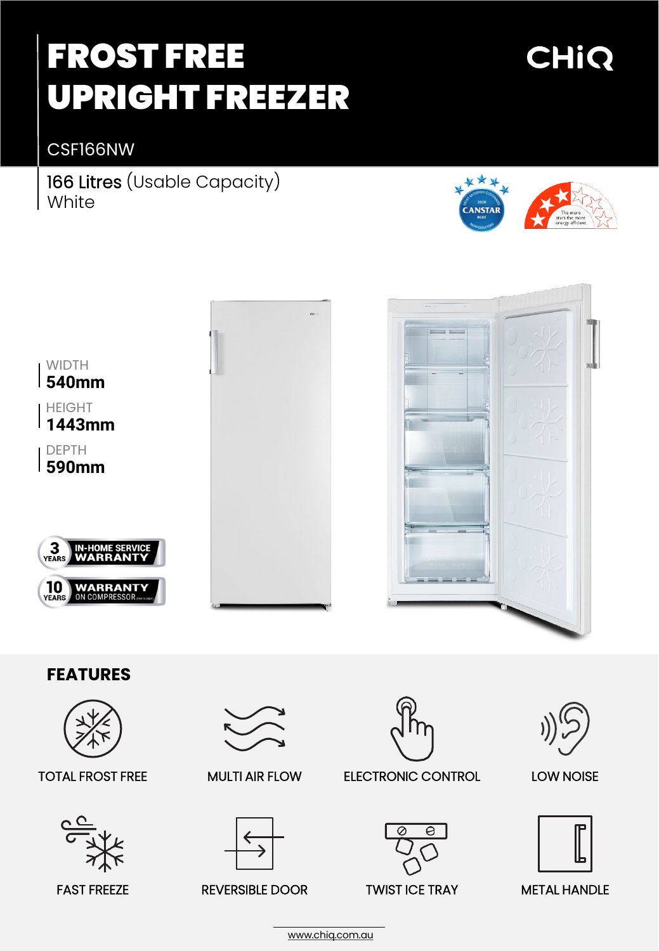# FROST FREE UPRIGHT FREEZER

## CHIQ

CSF166NW

166 Litres (Usable Capacity) White





[www.chiq.com.au](http://www.chiq.com.au/)